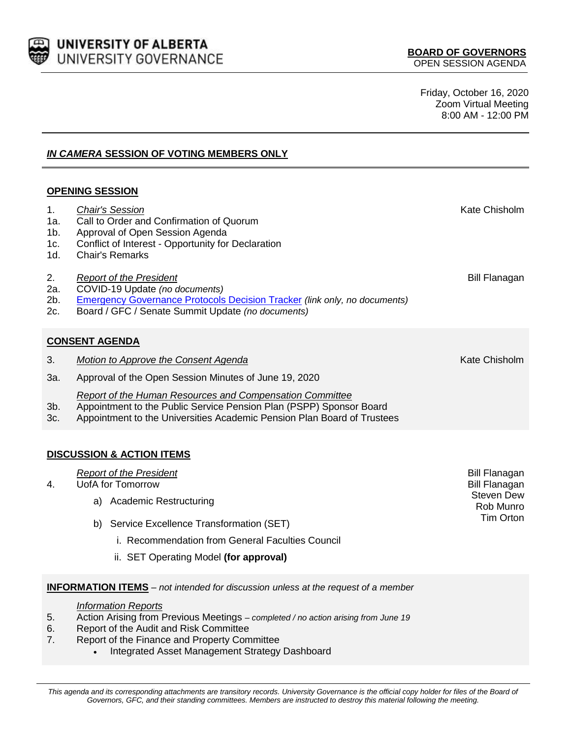

Friday, October 16, 2020 Zoom Virtual Meeting 8:00 AM - 12:00 PM

# *IN CAMERA* **SESSION OF VOTING MEMBERS ONLY**

## **OPENING SESSION**

| 1.<br>1a.<br>$1b$ .<br>1c.<br>1d.    |                                                                                                                                                                                                            | <b>Chair's Session</b><br>Call to Order and Confirmation of Quorum<br>Approval of Open Session Agenda<br>Conflict of Interest - Opportunity for Declaration<br><b>Chair's Remarks</b>                     | Kate Chisholm                             |  |
|--------------------------------------|------------------------------------------------------------------------------------------------------------------------------------------------------------------------------------------------------------|-----------------------------------------------------------------------------------------------------------------------------------------------------------------------------------------------------------|-------------------------------------------|--|
| 2.<br>2a.<br>2b.<br>2c.              |                                                                                                                                                                                                            | <b>Report of the President</b><br>COVID-19 Update (no documents)<br><b>Emergency Governance Protocols Decision Tracker (link only, no documents)</b><br>Board / GFC / Senate Summit Update (no documents) | <b>Bill Flanagan</b>                      |  |
| <b>CONSENT AGENDA</b>                |                                                                                                                                                                                                            |                                                                                                                                                                                                           |                                           |  |
| 3.                                   | Kate Chisholm<br>Motion to Approve the Consent Agenda                                                                                                                                                      |                                                                                                                                                                                                           |                                           |  |
| 3a.                                  | Approval of the Open Session Minutes of June 19, 2020                                                                                                                                                      |                                                                                                                                                                                                           |                                           |  |
| $3b$ .<br>3c.                        | Report of the Human Resources and Compensation Committee<br>Appointment to the Public Service Pension Plan (PSPP) Sponsor Board<br>Appointment to the Universities Academic Pension Plan Board of Trustees |                                                                                                                                                                                                           |                                           |  |
| <b>DISCUSSION &amp; ACTION ITEMS</b> |                                                                                                                                                                                                            |                                                                                                                                                                                                           |                                           |  |
| 4.                                   | <b>Report of the President</b>                                                                                                                                                                             | <b>Bill Flanagan</b>                                                                                                                                                                                      |                                           |  |
|                                      | a)                                                                                                                                                                                                         | UofA for Tomorrow<br><b>Academic Restructuring</b>                                                                                                                                                        | <b>Bill Flanagan</b><br><b>Steven Dew</b> |  |
|                                      |                                                                                                                                                                                                            |                                                                                                                                                                                                           | Rob Munro<br><b>Tim Orton</b>             |  |
|                                      | b)                                                                                                                                                                                                         | Service Excellence Transformation (SET)                                                                                                                                                                   |                                           |  |
|                                      | i. Recommendation from General Faculties Council                                                                                                                                                           |                                                                                                                                                                                                           |                                           |  |
|                                      | ii. SET Operating Model (for approval)                                                                                                                                                                     |                                                                                                                                                                                                           |                                           |  |

## **INFORMATION ITEMS** *– not intended for discussion unless at the request of a member*

#### *Information Reports*

- 5. Action Arising from Previous Meetings *– completed / no action arising from June 19*
- 6. Report of the Audit and Risk Committee
- 7. Report of the Finance and Property Committee
	- Integrated Asset Management Strategy Dashboard

This agenda and its corresponding attachments are transitory records. University Governance is the official copy holder for files of the Board of *Governors, GFC, and their standing committees. Members are instructed to destroy this material following the meeting.*